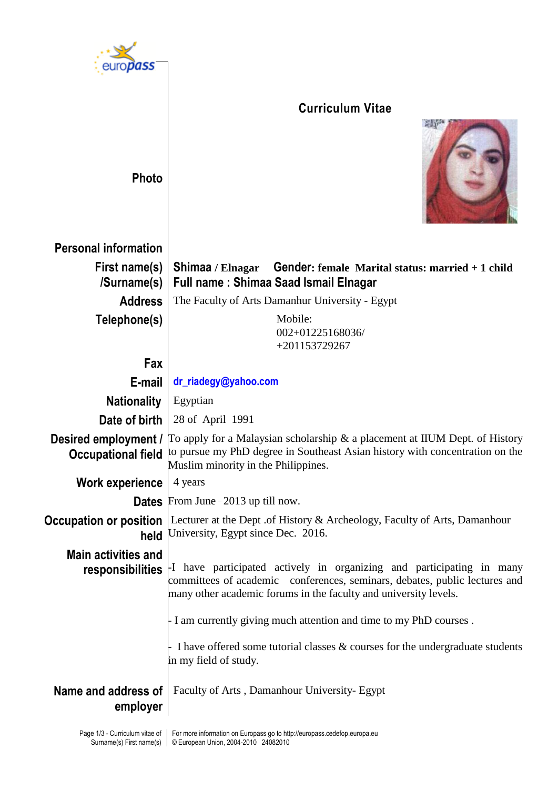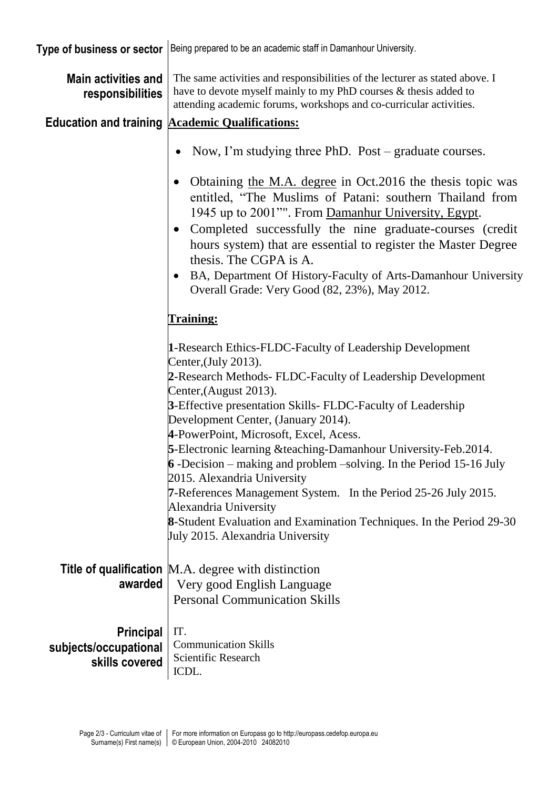| Type of business or sector                                  | Being prepared to be an academic staff in Damanhour University.                                                                                                                                                                                                                                                                                                                                                                                                                                                                                                                                                                                                                                          |  |  |  |  |
|-------------------------------------------------------------|----------------------------------------------------------------------------------------------------------------------------------------------------------------------------------------------------------------------------------------------------------------------------------------------------------------------------------------------------------------------------------------------------------------------------------------------------------------------------------------------------------------------------------------------------------------------------------------------------------------------------------------------------------------------------------------------------------|--|--|--|--|
| <b>Main activities and</b><br>responsibilities              | The same activities and responsibilities of the lecturer as stated above. I<br>have to devote myself mainly to my PhD courses & thesis added to<br>attending academic forums, workshops and co-curricular activities.                                                                                                                                                                                                                                                                                                                                                                                                                                                                                    |  |  |  |  |
|                                                             | <b>Education and training Academic Qualifications:</b>                                                                                                                                                                                                                                                                                                                                                                                                                                                                                                                                                                                                                                                   |  |  |  |  |
|                                                             | Now, I'm studying three PhD. Post – graduate courses.<br>Obtaining the M.A. degree in Oct.2016 the thesis topic was<br>entitled, "The Muslims of Patani: southern Thailand from<br>1945 up to 2001"". From Damanhur University, Egypt.<br>Completed successfully the nine graduate-courses (credit<br>$\bullet$<br>hours system) that are essential to register the Master Degree                                                                                                                                                                                                                                                                                                                        |  |  |  |  |
|                                                             | thesis. The CGPA is A.<br>BA, Department Of History-Faculty of Arts-Damanhour University<br>$\bullet$<br>Overall Grade: Very Good (82, 23%), May 2012.                                                                                                                                                                                                                                                                                                                                                                                                                                                                                                                                                   |  |  |  |  |
|                                                             | <u>Training:</u>                                                                                                                                                                                                                                                                                                                                                                                                                                                                                                                                                                                                                                                                                         |  |  |  |  |
|                                                             | 1-Research Ethics-FLDC-Faculty of Leadership Development<br>Center, (July 2013).<br>2-Research Methods- FLDC-Faculty of Leadership Development<br>Center, (August 2013).<br>3-Effective presentation Skills- FLDC-Faculty of Leadership<br>Development Center, (January 2014).<br>4-PowerPoint, Microsoft, Excel, Acess.<br>5-Electronic learning & teaching-Damanhour University-Feb.2014.<br>6 -Decision – making and problem –solving. In the Period 15-16 July<br>2015. Alexandria University<br>7-References Management System. In the Period 25-26 July 2015.<br>Alexandria University<br>8-Student Evaluation and Examination Techniques. In the Period 29-30<br>July 2015. Alexandria University |  |  |  |  |
| awarded                                                     | Title of qualification M.A. degree with distinction<br>Very good English Language<br><b>Personal Communication Skills</b>                                                                                                                                                                                                                                                                                                                                                                                                                                                                                                                                                                                |  |  |  |  |
| <b>Principal</b><br>subjects/occupational<br>skills covered | IT.<br><b>Communication Skills</b><br>Scientific Research<br>ICDL.                                                                                                                                                                                                                                                                                                                                                                                                                                                                                                                                                                                                                                       |  |  |  |  |